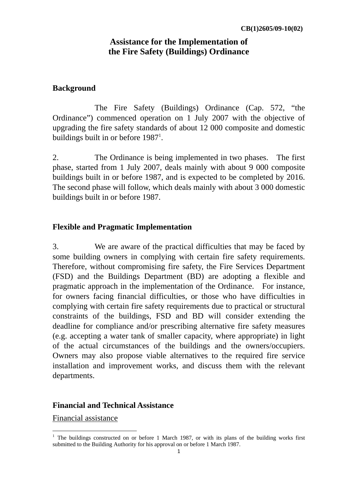# **Assistance for the Implementation of the Fire Safety (Buildings) Ordinance**

## **Background**

 The Fire Safety (Buildings) Ordinance (Cap. 572, "the Ordinance") commenced operation on 1 July 2007 with the objective of upgrading the fire safety standards of about 12 000 composite and domestic buildings built in or before  $1987<sup>1</sup>$ .

2. The Ordinance is being implemented in two phases. The first phase, started from 1 July 2007, deals mainly with about 9 000 composite buildings built in or before 1987, and is expected to be completed by 2016. The second phase will follow, which deals mainly with about 3 000 domestic buildings built in or before 1987.

### **Flexible and Pragmatic Implementation**

3. We are aware of the practical difficulties that may be faced by some building owners in complying with certain fire safety requirements. Therefore, without compromising fire safety, the Fire Services Department (FSD) and the Buildings Department (BD) are adopting a flexible and pragmatic approach in the implementation of the Ordinance. For instance, for owners facing financial difficulties, or those who have difficulties in complying with certain fire safety requirements due to practical or structural constraints of the buildings, FSD and BD will consider extending the deadline for compliance and/or prescribing alternative fire safety measures (e.g. accepting a water tank of smaller capacity, where appropriate) in light of the actual circumstances of the buildings and the owners/occupiers. Owners may also propose viable alternatives to the required fire service installation and improvement works, and discuss them with the relevant departments.

#### **Financial and Technical Assistance**

Financial assistance

-

<sup>&</sup>lt;sup>1</sup> The buildings constructed on or before 1 March 1987, or with its plans of the building works first submitted to the Building Authority for his approval on or before 1 March 1987.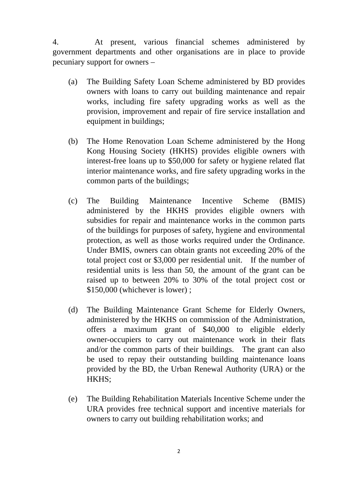4. At present, various financial schemes administered by government departments and other organisations are in place to provide pecuniary support for owners –

- (a) The Building Safety Loan Scheme administered by BD provides owners with loans to carry out building maintenance and repair works, including fire safety upgrading works as well as the provision, improvement and repair of fire service installation and equipment in buildings;
- (b) The Home Renovation Loan Scheme administered by the Hong Kong Housing Society (HKHS) provides eligible owners with interest-free loans up to \$50,000 for safety or hygiene related flat interior maintenance works, and fire safety upgrading works in the common parts of the buildings;
- (c) The Building Maintenance Incentive Scheme (BMIS) administered by the HKHS provides eligible owners with subsidies for repair and maintenance works in the common parts of the buildings for purposes of safety, hygiene and environmental protection, as well as those works required under the Ordinance. Under BMIS, owners can obtain grants not exceeding 20% of the total project cost or \$3,000 per residential unit. If the number of residential units is less than 50, the amount of the grant can be raised up to between 20% to 30% of the total project cost or \$150,000 (whichever is lower) ;
- (d) The Building Maintenance Grant Scheme for Elderly Owners, administered by the HKHS on commission of the Administration, offers a maximum grant of \$40,000 to eligible elderly owner-occupiers to carry out maintenance work in their flats and/or the common parts of their buildings. The grant can also be used to repay their outstanding building maintenance loans provided by the BD, the Urban Renewal Authority (URA) or the HKHS;
- (e) The Building Rehabilitation Materials Incentive Scheme under the URA provides free technical support and incentive materials for owners to carry out building rehabilitation works; and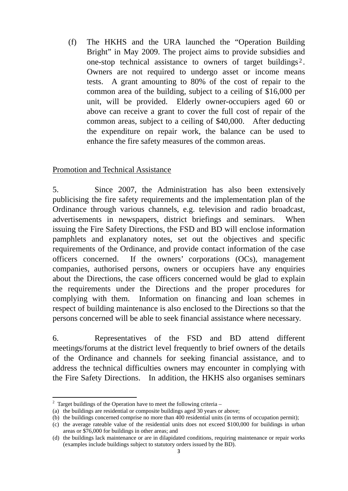(f) The HKHS and the URA launched the "Operation Building Bright" in May 2009. The project aims to provide subsidies and one-stop technical assistance to owners of target buildings<sup>2</sup>. Owners are not required to undergo asset or income means tests. A grant amounting to 80% of the cost of repair to the common area of the building, subject to a ceiling of \$16,000 per unit, will be provided. Elderly owner-occupiers aged 60 or above can receive a grant to cover the full cost of repair of the common areas, subject to a ceiling of \$40,000. After deducting the expenditure on repair work, the balance can be used to enhance the fire safety measures of the common areas.

### Promotion and Technical Assistance

5. Since 2007, the Administration has also been extensively publicising the fire safety requirements and the implementation plan of the Ordinance through various channels, e.g. television and radio broadcast, advertisements in newspapers, district briefings and seminars. When issuing the Fire Safety Directions, the FSD and BD will enclose information pamphlets and explanatory notes, set out the objectives and specific requirements of the Ordinance, and provide contact information of the case officers concerned. If the owners' corporations (OCs), management companies, authorised persons, owners or occupiers have any enquiries about the Directions, the case officers concerned would be glad to explain the requirements under the Directions and the proper procedures for complying with them. Information on financing and loan schemes in respect of building maintenance is also enclosed to the Directions so that the persons concerned will be able to seek financial assistance where necessary.

6. Representatives of the FSD and BD attend different meetings/forums at the district level frequently to brief owners of the details of the Ordinance and channels for seeking financial assistance, and to address the technical difficulties owners may encounter in complying with the Fire Safety Directions. In addition, the HKHS also organises seminars

<sup>-</sup> $2$  Target buildings of the Operation have to meet the following criteria –

<sup>(</sup>a) the buildings are residential or composite buildings aged 30 years or above;

<sup>(</sup>b) the buildings concerned comprise no more than 400 residential units (in terms of occupation permit);

<sup>(</sup>c) the average rateable value of the residential units does not exceed \$100,000 for buildings in urban areas or \$76,000 for buildings in other areas; and

<sup>(</sup>d) the buildings lack maintenance or are in dilapidated conditions, requiring maintenance or repair works (examples include buildings subject to statutory orders issued by the BD).